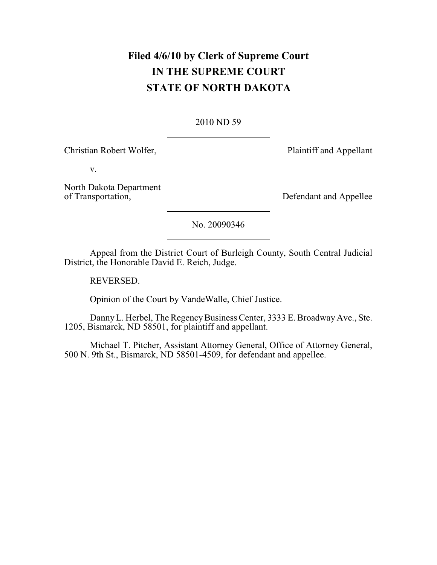# **Filed 4/6/10 by Clerk of Supreme Court IN THE SUPREME COURT STATE OF NORTH DAKOTA**

### [2010 ND 59](http://www.ndcourts.gov/supreme-court/opinion/2010ND59)

Christian Robert Wolfer, Plaintiff and Appellant

v.

North Dakota Department<br>of Transportation,

Defendant and Appellee

[No. 20090346](http://www.ndcourts.gov/supreme-court/dockets/20090346)

Appeal from the District Court of Burleigh County, South Central Judicial District, the Honorable David E. Reich, Judge.

REVERSED.

Opinion of the Court by VandeWalle, Chief Justice.

Danny L. Herbel, The Regency Business Center, 3333 E. Broadway Ave., Ste. 1205, Bismarck, ND 58501, for plaintiff and appellant.

Michael T. Pitcher, Assistant Attorney General, Office of Attorney General, 500 N. 9th St., Bismarck, ND 58501-4509, for defendant and appellee.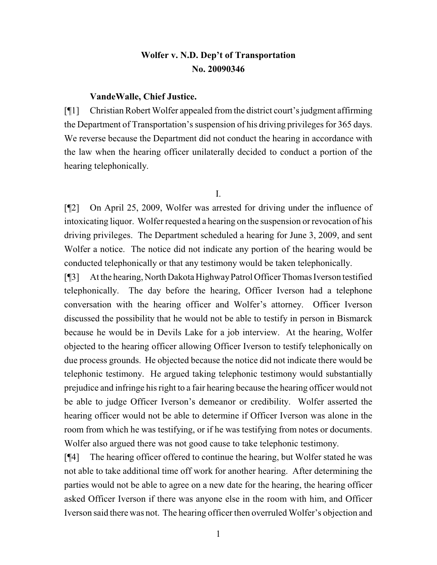# **Wolfer v. N.D. Dep't of Transportation [No. 20090346](http://www.ndcourts.gov/supreme-court/dockets/20090346)**

#### **VandeWalle, Chief Justice.**

[¶1] Christian Robert Wolfer appealed from the district court's judgment affirming the Department of Transportation's suspension of his driving privileges for 365 days. We reverse because the Department did not conduct the hearing in accordance with the law when the hearing officer unilaterally decided to conduct a portion of the hearing telephonically.

I.

[¶2] On April 25, 2009, Wolfer was arrested for driving under the influence of intoxicating liquor. Wolfer requested a hearing on the suspension or revocation of his driving privileges. The Department scheduled a hearing for June 3, 2009, and sent Wolfer a notice. The notice did not indicate any portion of the hearing would be conducted telephonically or that any testimony would be taken telephonically.

[¶3] At the hearing, North Dakota HighwayPatrol Officer Thomas Iverson testified telephonically. The day before the hearing, Officer Iverson had a telephone conversation with the hearing officer and Wolfer's attorney. Officer Iverson discussed the possibility that he would not be able to testify in person in Bismarck because he would be in Devils Lake for a job interview. At the hearing, Wolfer objected to the hearing officer allowing Officer Iverson to testify telephonically on due process grounds. He objected because the notice did not indicate there would be telephonic testimony. He argued taking telephonic testimony would substantially prejudice and infringe his right to a fair hearing because the hearing officer would not be able to judge Officer Iverson's demeanor or credibility. Wolfer asserted the hearing officer would not be able to determine if Officer Iverson was alone in the room from which he was testifying, or if he was testifying from notes or documents. Wolfer also argued there was not good cause to take telephonic testimony.

[¶4] The hearing officer offered to continue the hearing, but Wolfer stated he was not able to take additional time off work for another hearing. After determining the parties would not be able to agree on a new date for the hearing, the hearing officer asked Officer Iverson if there was anyone else in the room with him, and Officer Iverson said there was not. The hearing officer then overruled Wolfer's objection and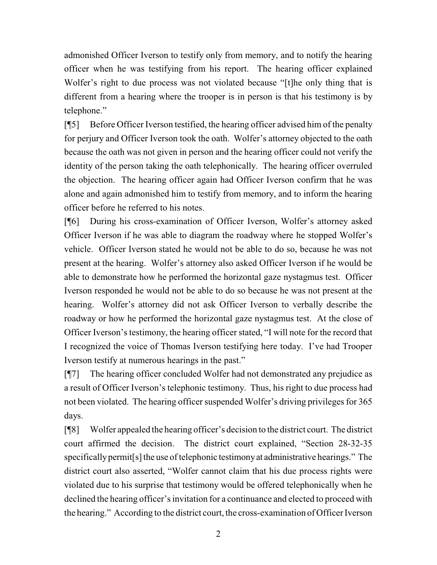admonished Officer Iverson to testify only from memory, and to notify the hearing officer when he was testifying from his report. The hearing officer explained Wolfer's right to due process was not violated because "[t] the only thing that is different from a hearing where the trooper is in person is that his testimony is by telephone."

[¶5] Before Officer Iverson testified, the hearing officer advised him of the penalty for perjury and Officer Iverson took the oath. Wolfer's attorney objected to the oath because the oath was not given in person and the hearing officer could not verify the identity of the person taking the oath telephonically. The hearing officer overruled the objection. The hearing officer again had Officer Iverson confirm that he was alone and again admonished him to testify from memory, and to inform the hearing officer before he referred to his notes.

[¶6] During his cross-examination of Officer Iverson, Wolfer's attorney asked Officer Iverson if he was able to diagram the roadway where he stopped Wolfer's vehicle. Officer Iverson stated he would not be able to do so, because he was not present at the hearing. Wolfer's attorney also asked Officer Iverson if he would be able to demonstrate how he performed the horizontal gaze nystagmus test. Officer Iverson responded he would not be able to do so because he was not present at the hearing. Wolfer's attorney did not ask Officer Iverson to verbally describe the roadway or how he performed the horizontal gaze nystagmus test. At the close of Officer Iverson's testimony, the hearing officer stated, "I will note for the record that I recognized the voice of Thomas Iverson testifying here today. I've had Trooper Iverson testify at numerous hearings in the past."

[¶7] The hearing officer concluded Wolfer had not demonstrated any prejudice as a result of Officer Iverson's telephonic testimony. Thus, his right to due process had not been violated. The hearing officer suspended Wolfer's driving privileges for 365 days.

[¶8] Wolfer appealed the hearing officer's decision to the district court. The district court affirmed the decision. The district court explained, "Section 28-32-35 specifically permit [s] the use of telephonic testimony at administrative hearings." The district court also asserted, "Wolfer cannot claim that his due process rights were violated due to his surprise that testimony would be offered telephonically when he declined the hearing officer's invitation for a continuance and elected to proceed with the hearing." According to the district court, the cross-examination of Officer Iverson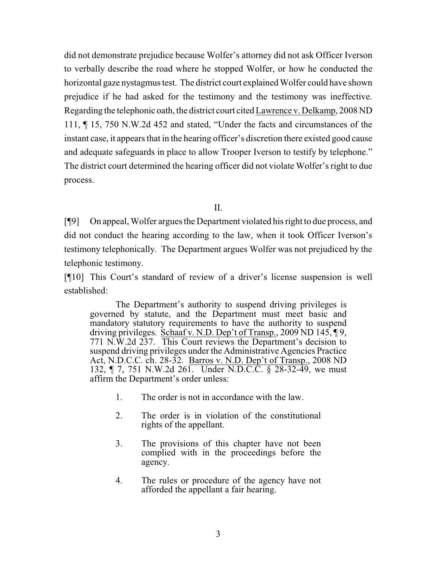did not demonstrate prejudice because Wolfer's attorney did not ask Officer Iverson to verbally describe the road where he stopped Wolfer, or how he conducted the horizontal gaze nystagmus test. The district court explained Wolfer could have shown prejudice if he had asked for the testimony and the testimony was ineffective. Regarding the telephonic oath, the district court cited Lawrence v. Delkamp, [2008 ND](http://www.ndcourts.gov/supreme-court/opinion/2008ND111) [111,](http://www.ndcourts.gov/supreme-court/opinion/2008ND111) ¶ 15, [750 N.W.2d 452](http://www.ndcourts.gov/supreme-court/opinion/750NW2d452) and stated, "Under the facts and circumstances of the instant case, it appears that in the hearing officer's discretion there existed good cause and adequate safeguards in place to allow Trooper Iverson to testify by telephone." The district court determined the hearing officer did not violate Wolfer's right to due process.

II.

[¶9] On appeal, Wolfer argues the Department violated his right to due process, and did not conduct the hearing according to the law, when it took Officer Iverson's testimony telephonically. The Department argues Wolfer was not prejudiced by the telephonic testimony.

[¶10] This Court's standard of review of a driver's license suspension is well established:

The Department's authority to suspend driving privileges is governed by statute, and the Department must meet basic and mandatory statutory requirements to have the authority to suspend driving privileges. Schaaf v. N.D. Dep't of Transp., [2009 ND 145,](http://www.ndcourts.gov/supreme-court/opinion/2009ND145) ¶ 9, [771 N.W.2d 237.](http://www.ndcourts.gov/supreme-court/opinion/771NW2d237) This Court reviews the Department's decision to suspend driving privileges under the Administrative Agencies Practice Act, N.D.C.C. ch. 28-32. Barros v. N.D. Dep't of Transp., [2008 ND](http://www.ndcourts.gov/supreme-court/opinion/2008ND132) [132,](http://www.ndcourts.gov/supreme-court/opinion/2008ND132) ¶ 7, [751 N.W.2d 261.](http://www.ndcourts.gov/supreme-court/opinion/751NW2d261) Under N.D.C.C. § 28-32-49, we must affirm the Department's order unless:

- 1. The order is not in accordance with the law.
- 2. The order is in violation of the constitutional rights of the appellant.
- 3. The provisions of this chapter have not been complied with in the proceedings before the agency.
- 4. The rules or procedure of the agency have not afforded the appellant a fair hearing.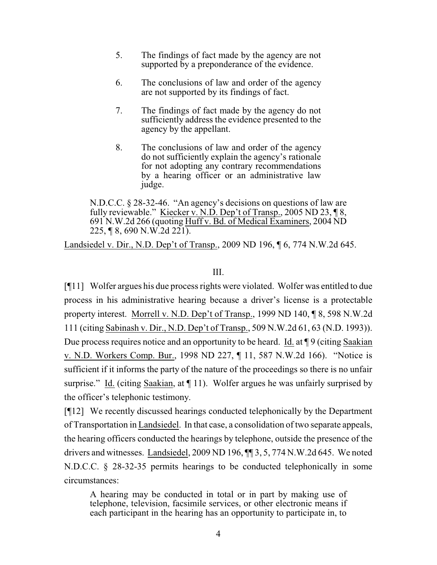- 5. The findings of fact made by the agency are not supported by a preponderance of the evidence.
- 6. The conclusions of law and order of the agency are not supported by its findings of fact.
- 7. The findings of fact made by the agency do not sufficiently address the evidence presented to the agency by the appellant.
- 8. The conclusions of law and order of the agency do not sufficiently explain the agency's rationale for not adopting any contrary recommendations by a hearing officer or an administrative law judge.

N.D.C.C. § 28-32-46. "An agency's decisions on questions of law are fully reviewable." Kiecker v. N.D. Dep't of Transp., [2005 ND 23,](http://www.ndcourts.gov/supreme-court/opinion/2005ND23) \omega\left\, [691 N.W.2d 266](http://www.ndcourts.gov/supreme-court/opinion/691NW2d266) (quoting Huff v. Bd. of Medical Examiners, [2004 ND](http://www.ndcourts.gov/supreme-court/opinion/2004ND225) [225,](http://www.ndcourts.gov/supreme-court/opinion/2004ND225) ¶ 8, [690 N.W.2d 221\).](http://www.ndcourts.gov/supreme-court/opinion/690NW2d221)

Landsiedel v. Dir., N.D. Dep't of Transp., [2009 ND 196,](http://www.ndcourts.gov/supreme-court/opinion/2009ND196) ¶ 6, [774 N.W.2d 645.](http://www.ndcourts.gov/supreme-court/opinion/774NW2d645)

## III.

[¶11] Wolfer argues his due process rights were violated. Wolfer was entitled to due process in his administrative hearing because a driver's license is a protectable property interest. Morrell v. N.D. Dep't of Transp., [1999 ND 140,](http://www.ndcourts.gov/supreme-court/opinion/1999ND140) ¶ 8, [598 N.W.2d](http://www.ndcourts.gov/supreme-court/opinion/598NW2d111) [111](http://www.ndcourts.gov/supreme-court/opinion/598NW2d111) (citing Sabinash v. Dir., N.D. Dep't of Transp., 509 N.W.2d 61, 63 (N.D. 1993)). Due process requires notice and an opportunity to be heard. Id. at  $\P$ 9 (citing Saakian v. N.D. Workers Comp. Bur., [1998 ND 227,](http://www.ndcourts.gov/supreme-court/opinion/1998ND227) ¶ 11, [587 N.W.2d 166\).](http://www.ndcourts.gov/supreme-court/opinion/587NW2d166) "Notice is sufficient if it informs the party of the nature of the proceedings so there is no unfair surprise." Id. (citing Saakian, at  $\P$  11). Wolfer argues he was unfairly surprised by the officer's telephonic testimony.

[¶12] We recently discussed hearings conducted telephonically by the Department of Transportation in Landsiedel. In that case, a consolidation of two separate appeals, the hearing officers conducted the hearings by telephone, outside the presence of the drivers and witnesses. Landsiedel, [2009 ND 196,](http://www.ndcourts.gov/supreme-court/opinion/2009ND196) ¶¶ 3, 5, [774 N.W.2d 645.](http://www.ndcourts.gov/supreme-court/opinion/774NW2d645) We noted N.D.C.C. § 28-32-35 permits hearings to be conducted telephonically in some circumstances:

A hearing may be conducted in total or in part by making use of telephone, television, facsimile services, or other electronic means if each participant in the hearing has an opportunity to participate in, to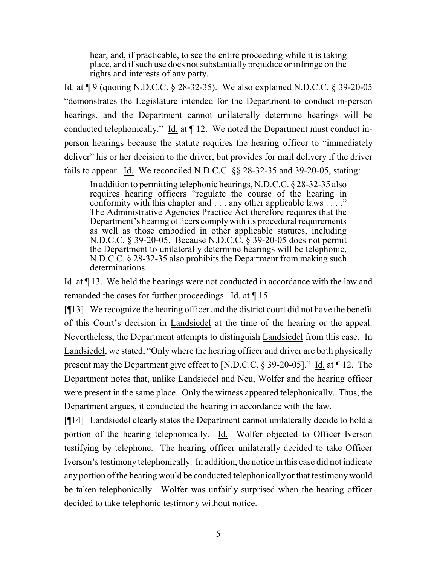hear, and, if practicable, to see the entire proceeding while it is taking place, and if such use does not substantially prejudice or infringe on the rights and interests of any party.

Id. at ¶ 9 (quoting N.D.C.C. § 28-32-35). We also explained N.D.C.C. § 39-20-05 "demonstrates the Legislature intended for the Department to conduct in-person hearings, and the Department cannot unilaterally determine hearings will be conducted telephonically." Id. at  $\P$  12. We noted the Department must conduct inperson hearings because the statute requires the hearing officer to "immediately deliver" his or her decision to the driver, but provides for mail delivery if the driver fails to appear. Id. We reconciled N.D.C.C. §§ 28-32-35 and 39-20-05, stating:

In addition to permitting telephonic hearings, N.D.C.C. § 28-32-35 also requires hearing officers "regulate the course of the hearing in conformity with this chapter and . . . any other applicable laws . . . ." The Administrative Agencies Practice Act therefore requires that the Department's hearing officers complywith its procedural requirements as well as those embodied in other applicable statutes, including N.D.C.C. § 39-20-05. Because N.D.C.C. § 39-20-05 does not permit the Department to unilaterally determine hearings will be telephonic, N.D.C.C. § 28-32-35 also prohibits the Department from making such determinations.

Id. at ¶ 13. We held the hearings were not conducted in accordance with the law and remanded the cases for further proceedings. Id. at ¶ 15.

[¶13] We recognize the hearing officer and the district court did not have the benefit of this Court's decision in Landsiedel at the time of the hearing or the appeal. Nevertheless, the Department attempts to distinguish Landsiedel from this case. In Landsiedel, we stated, "Only where the hearing officer and driver are both physically present may the Department give effect to [N.D.C.C. § 39-20-05]." Id. at ¶ 12. The Department notes that, unlike Landsiedel and Neu, Wolfer and the hearing officer were present in the same place. Only the witness appeared telephonically. Thus, the Department argues, it conducted the hearing in accordance with the law.

[¶14] Landsiedel clearly states the Department cannot unilaterally decide to hold a portion of the hearing telephonically. Id. Wolfer objected to Officer Iverson testifying by telephone. The hearing officer unilaterally decided to take Officer Iverson's testimony telephonically. In addition, the notice in this case did not indicate any portion of the hearing would be conducted telephonically or that testimonywould be taken telephonically. Wolfer was unfairly surprised when the hearing officer decided to take telephonic testimony without notice.